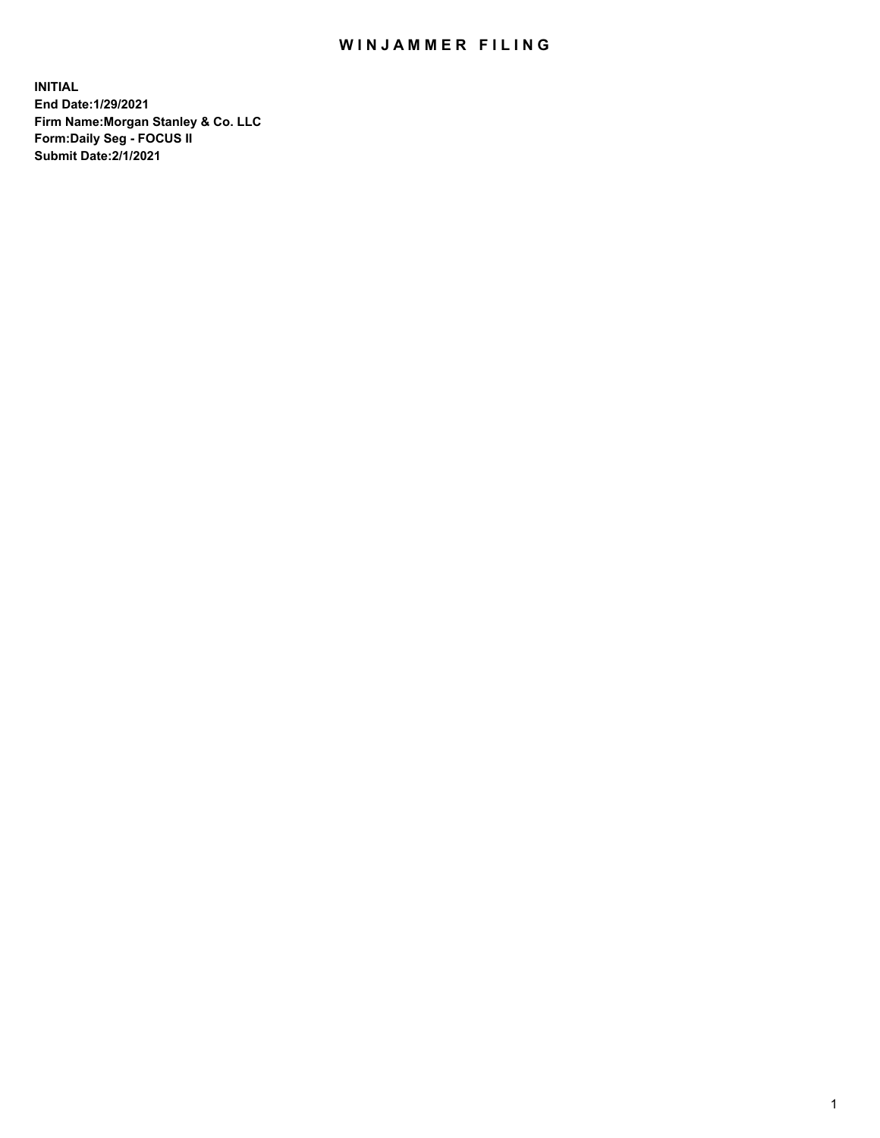## WIN JAMMER FILING

**INITIAL End Date:1/29/2021 Firm Name:Morgan Stanley & Co. LLC Form:Daily Seg - FOCUS II Submit Date:2/1/2021**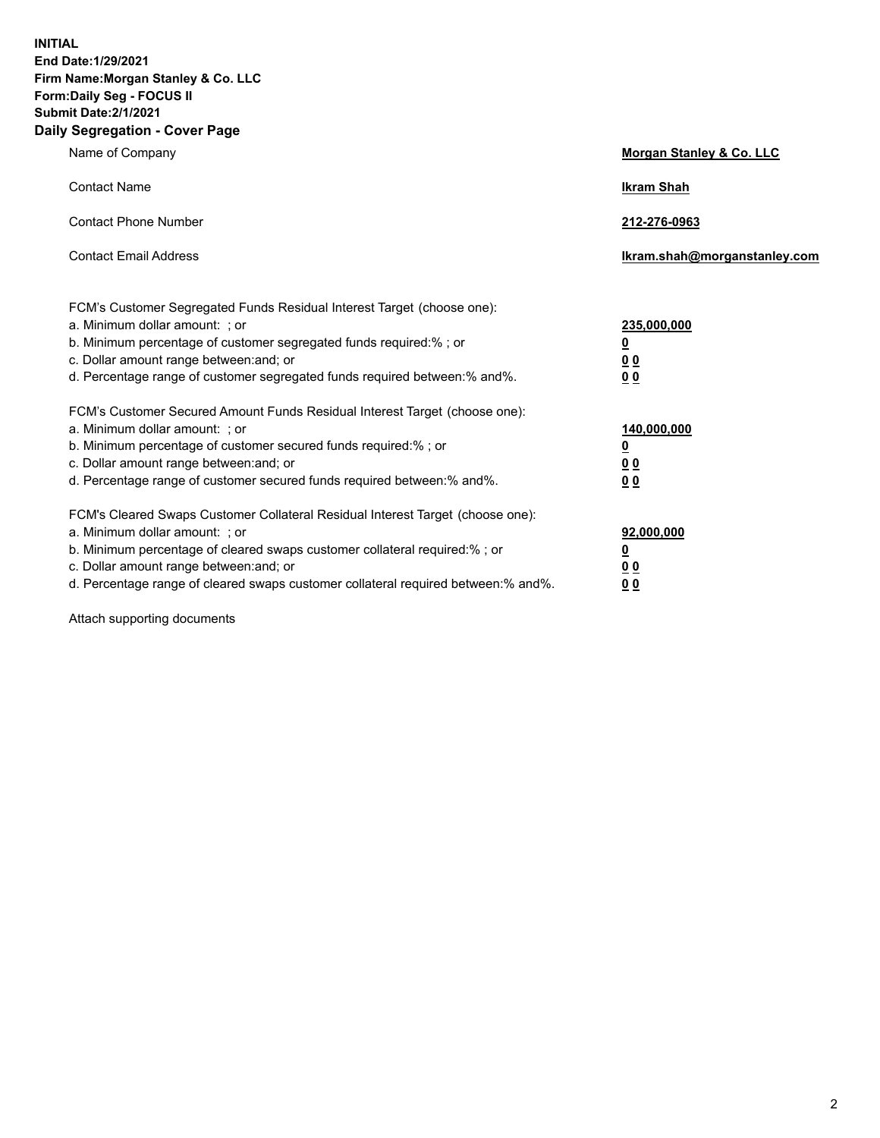**INITIAL End Date:1/29/2021 Firm Name:Morgan Stanley & Co. LLC Form:Daily Seg - FOCUS II Submit Date:2/1/2021 Daily Segregation - Cover Page**

| Name of Company                                                                                                                                                                                                                                                                                                                | Morgan Stanley & Co. LLC                                    |  |
|--------------------------------------------------------------------------------------------------------------------------------------------------------------------------------------------------------------------------------------------------------------------------------------------------------------------------------|-------------------------------------------------------------|--|
| <b>Contact Name</b>                                                                                                                                                                                                                                                                                                            | <b>Ikram Shah</b>                                           |  |
| <b>Contact Phone Number</b>                                                                                                                                                                                                                                                                                                    | 212-276-0963                                                |  |
| <b>Contact Email Address</b>                                                                                                                                                                                                                                                                                                   | Ikram.shah@morganstanley.com                                |  |
| FCM's Customer Segregated Funds Residual Interest Target (choose one):<br>a. Minimum dollar amount: ; or<br>b. Minimum percentage of customer segregated funds required:% ; or<br>c. Dollar amount range between: and; or<br>d. Percentage range of customer segregated funds required between:% and%.                         | 235,000,000<br><u>0</u><br>0 <sup>0</sup><br>00             |  |
| FCM's Customer Secured Amount Funds Residual Interest Target (choose one):<br>a. Minimum dollar amount: ; or<br>b. Minimum percentage of customer secured funds required:% ; or<br>c. Dollar amount range between: and; or<br>d. Percentage range of customer secured funds required between:% and%.                           | 140,000,000<br><u>0</u><br>0 <sub>0</sub><br>0 <sub>0</sub> |  |
| FCM's Cleared Swaps Customer Collateral Residual Interest Target (choose one):<br>a. Minimum dollar amount: ; or<br>b. Minimum percentage of cleared swaps customer collateral required:% ; or<br>c. Dollar amount range between: and; or<br>d. Percentage range of cleared swaps customer collateral required between:% and%. | 92,000,000<br><u>0</u><br>0 Q<br>0 <sub>0</sub>             |  |

Attach supporting documents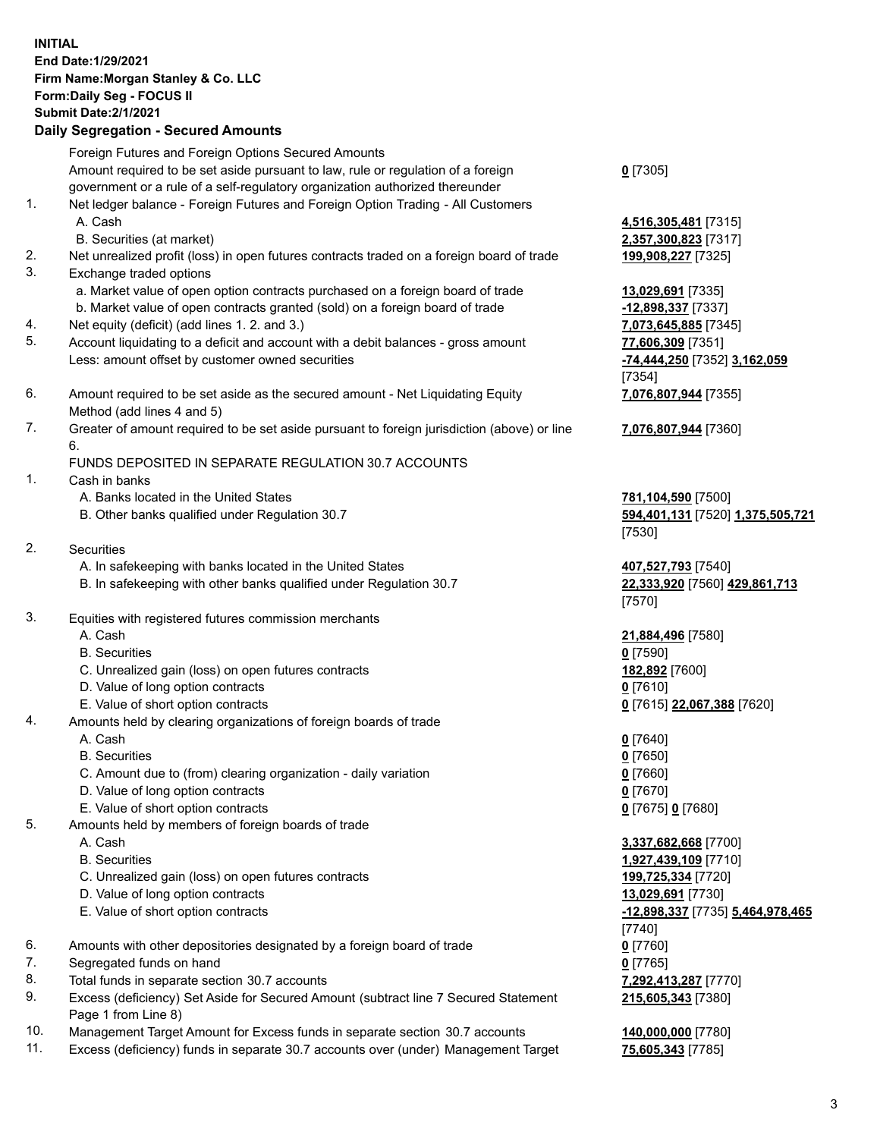| <b>INITIAL</b> | End Date: 1/29/2021<br>Firm Name: Morgan Stanley & Co. LLC<br>Form: Daily Seg - FOCUS II<br><b>Submit Date: 2/1/2021</b><br><b>Daily Segregation - Secured Amounts</b>                                                                             |                                                                                                       |
|----------------|----------------------------------------------------------------------------------------------------------------------------------------------------------------------------------------------------------------------------------------------------|-------------------------------------------------------------------------------------------------------|
|                | Foreign Futures and Foreign Options Secured Amounts<br>Amount required to be set aside pursuant to law, rule or regulation of a foreign<br>government or a rule of a self-regulatory organization authorized thereunder                            | $0$ [7305]                                                                                            |
| 1.             | Net ledger balance - Foreign Futures and Foreign Option Trading - All Customers<br>A. Cash<br>B. Securities (at market)                                                                                                                            | 4,516,305,481 [73<br>2,357,300,823 [73                                                                |
| 2.<br>3.       | Net unrealized profit (loss) in open futures contracts traded on a foreign board of trade<br>Exchange traded options                                                                                                                               | 199,908,227 [7325                                                                                     |
|                | a. Market value of open option contracts purchased on a foreign board of trade<br>b. Market value of open contracts granted (sold) on a foreign board of trade                                                                                     | 13,029,691 [7335]<br>-12,898,337 [7337                                                                |
| 4.<br>5.       | Net equity (deficit) (add lines 1. 2. and 3.)<br>Account liquidating to a deficit and account with a debit balances - gross amount<br>Less: amount offset by customer owned securities                                                             | 7,073,645,885 [73<br>77,606,309 [7351]<br>-74,444,250 [7352                                           |
| 6.             | Amount required to be set aside as the secured amount - Net Liquidating Equity<br>Method (add lines 4 and 5)                                                                                                                                       | [7354]<br>7,076,807,944 [73                                                                           |
| 7.             | Greater of amount required to be set aside pursuant to foreign jurisdiction (above) or line<br>6.                                                                                                                                                  | 7,076,807,944 [73                                                                                     |
| 1.             | FUNDS DEPOSITED IN SEPARATE REGULATION 30.7 ACCOUNTS<br>Cash in banks                                                                                                                                                                              |                                                                                                       |
|                | A. Banks located in the United States<br>B. Other banks qualified under Regulation 30.7                                                                                                                                                            | 781,104,590 [7500<br>594,401,131 [7520<br>[7530]                                                      |
| 2.             | <b>Securities</b><br>A. In safekeeping with banks located in the United States<br>B. In safekeeping with other banks qualified under Regulation 30.7                                                                                               | 407,527,793 [7540]<br>22,333,920 [7560]<br>[7570]                                                     |
| 3.             | Equities with registered futures commission merchants<br>A. Cash<br><b>B.</b> Securities<br>C. Unrealized gain (loss) on open futures contracts<br>D. Value of long option contracts<br>E. Value of short option contracts                         | 21,884,496 [7580]<br>$0$ [7590]<br>182,892 [7600]<br>$0$ [7610]<br>0 [7615] 22,067,38                 |
| 4.             | Amounts held by clearing organizations of foreign boards of trade<br>A. Cash<br><b>B.</b> Securities<br>C. Amount due to (from) clearing organization - daily variation<br>D. Value of long option contracts<br>E. Value of short option contracts | $0$ [7640]<br>$0$ [7650]<br>$0$ [7660]<br>$0$ [7670]<br>0 [7675] 0 [7680]                             |
| 5.             | Amounts held by members of foreign boards of trade<br>A. Cash<br><b>B.</b> Securities<br>C. Unrealized gain (loss) on open futures contracts<br>D. Value of long option contracts<br>E. Value of short option contracts                            | 3,337,682,668 [77<br>1,927,439,109 [77<br>199,725,334 [7720<br>13,029,691 [7730]<br>-12,898,337 [7735 |
| 6.<br>7.       | Amounts with other depositories designated by a foreign board of trade<br>Segregated funds on hand                                                                                                                                                 | [7740]<br>$0$ [7760]<br>$0$ [7765]                                                                    |

- 8. Total funds in separate section 30.7 accounts **7,292,413,287** [7770]
- 9. Excess (deficiency) Set Aside for Secured Amount (subtract line 7 Secured Statement Page 1 from Line 8)
- 10. Management Target Amount for Excess funds in separate section 30.7 accounts **140,000,000** [7780]
- 11. Excess (deficiency) funds in separate 30.7 accounts over (under) Management Target **75,605,343** [7785]

**305,481** [7315] B. Securities (at market) **2,357,300,823** [7317] 2<mark>8, 227</mark> [7325]

**8,337** [7337] 645,885 [7345] Less: amount offset by customer owned securities **-74,444,250** [7352] **3,162,059 7,076,807,944** [7355]

**7,076,807,944** [7360]

**a.590** [7500] B. Other banks qualified under Regulation 30.7 **594,401,131** [7520] **1,375,505,721**

<mark>. 1. 793</mark> [7540] <u>8,920</u> [7560] <u>429,861,713</u>

 A. Cash **21,884,496** [7580] E. Value of short option contracts **0** [7615] **22,067,388** [7620]

 A. Cash **3,337,682,668** [7700] B. Securities **1,927,439,109** [7710] **25,334** [7720] E. Value of short option contracts **-12,898,337** [7735] **5,464,978,465 215,605,343** [7380]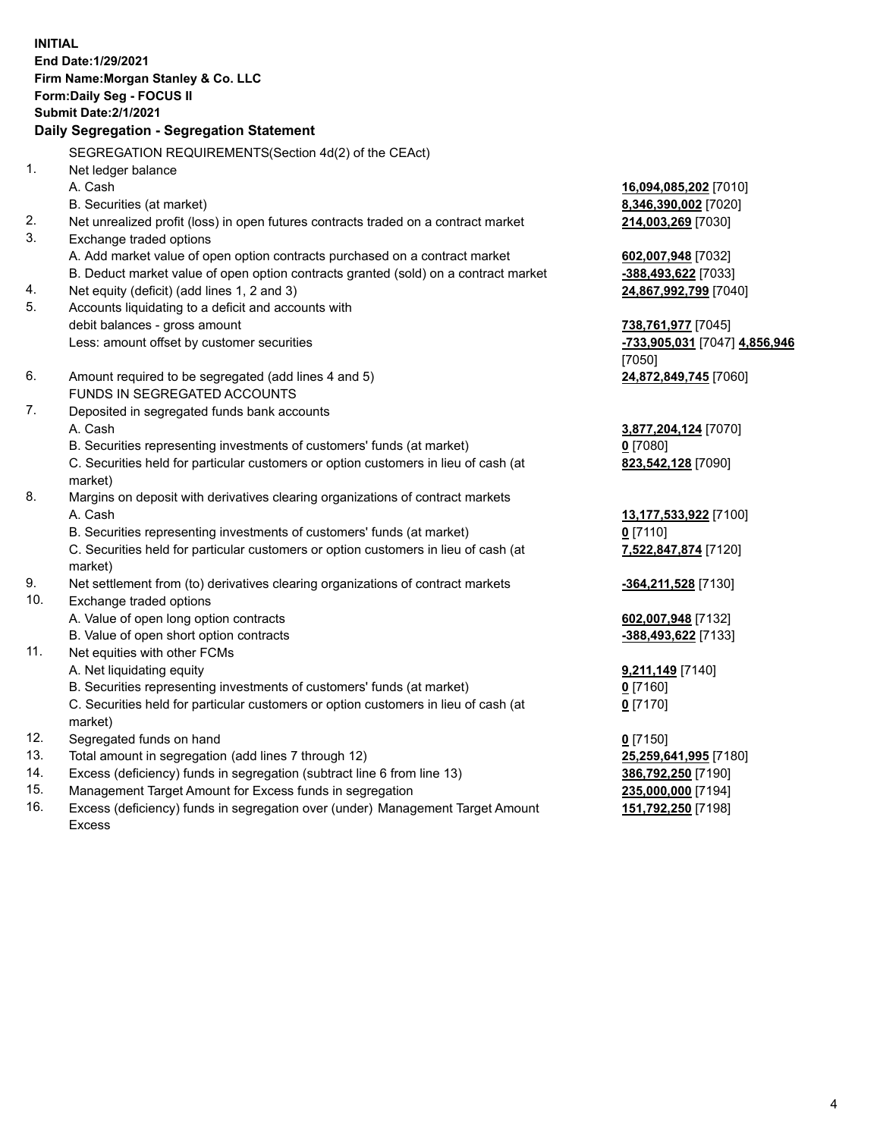**INITIAL End Date:1/29/2021 Firm Name:Morgan Stanley & Co. LLC Form:Daily Seg - FOCUS II Submit Date:2/1/2021 Daily Segregation - Segregation Statement** SEGREGATION REQUIREMENTS(Section 4d(2) of the CEAct) 1. Net ledger balance A. Cash **16,094,085,202** [7010] B. Securities (at market) **8,346,390,002** [7020] 2. Net unrealized profit (loss) in open futures contracts traded on a contract market **214,003,269** [7030] 3. Exchange traded options A. Add market value of open option contracts purchased on a contract market **602,007,948** [7032] B. Deduct market value of open option contracts granted (sold) on a contract market **-388,493,622** [7033] 4. Net equity (deficit) (add lines 1, 2 and 3) **24,867,992,799** [7040] 5. Accounts liquidating to a deficit and accounts with debit balances - gross amount **738,761,977** [7045] Less: amount offset by customer securities **-733,905,031** [7047] **4,856,946** [7050] 6. Amount required to be segregated (add lines 4 and 5) **24,872,849,745** [7060] FUNDS IN SEGREGATED ACCOUNTS 7. Deposited in segregated funds bank accounts A. Cash **3,877,204,124** [7070] B. Securities representing investments of customers' funds (at market) **0** [7080] C. Securities held for particular customers or option customers in lieu of cash (at market) **823,542,128** [7090] 8. Margins on deposit with derivatives clearing organizations of contract markets A. Cash **13,177,533,922** [7100] B. Securities representing investments of customers' funds (at market) **0** [7110] C. Securities held for particular customers or option customers in lieu of cash (at market) **7,522,847,874** [7120] 9. Net settlement from (to) derivatives clearing organizations of contract markets **-364,211,528** [7130] 10. Exchange traded options A. Value of open long option contracts **602,007,948** [7132] B. Value of open short option contracts **-388,493,622** [7133] 11. Net equities with other FCMs A. Net liquidating equity **9,211,149** [7140] B. Securities representing investments of customers' funds (at market) **0** [7160] C. Securities held for particular customers or option customers in lieu of cash (at market) **0** [7170] 12. Segregated funds on hand **0** [7150] 13. Total amount in segregation (add lines 7 through 12) **25,259,641,995** [7180] 14. Excess (deficiency) funds in segregation (subtract line 6 from line 13) **386,792,250** [7190] 15. Management Target Amount for Excess funds in segregation **235,000,000** [7194]

16. Excess (deficiency) funds in segregation over (under) Management Target Amount Excess

**151,792,250** [7198]